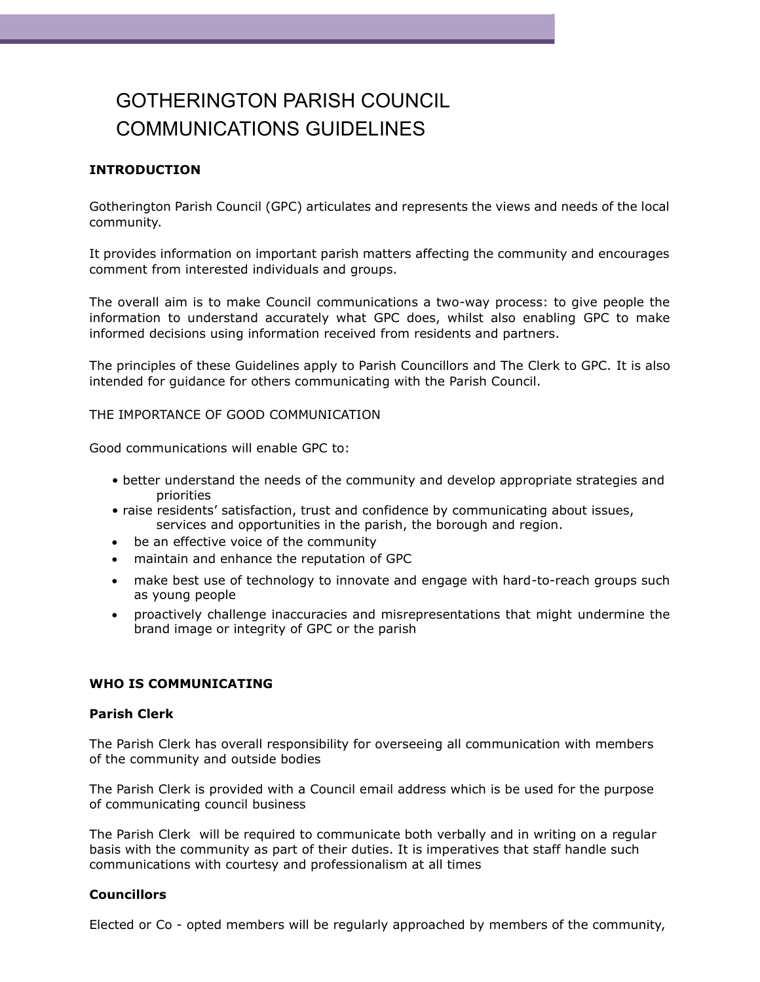# GOTHERINGTON PARISH COUNCIL COMMUNICATIONS GUIDELINES

# **INTRODUCTION**

Gotherington Parish Council (GPC) articulates and represents the views and needs of the local community.

It provides information on important parish matters affecting the community and encourages comment from interested individuals and groups.

The overall aim is to make Council communications a two-way process: to give people the information to understand accurately what GPC does, whilst also enabling GPC to make informed decisions using information received from residents and partners.

The principles of these Guidelines apply to Parish Councillors and The Clerk to GPC*.* It is also intended for guidance for others communicating with the Parish Council.

THE IMPORTANCE OF GOOD COMMUNICATION

Good communications will enable GPC to:

- better understand the needs of the community and develop appropriate strategies and priorities
- raise residents' satisfaction, trust and confidence by communicating about issues, services and opportunities in the parish, the borough and region.
- be an effective voice of the community
- maintain and enhance the reputation of GPC
- make best use of technology to innovate and engage with hard-to-reach groups such as young people
- proactively challenge inaccuracies and misrepresentations that might undermine the brand image or integrity of GPC or the parish

#### **WHO IS COMMUNICATING**

#### **Parish Clerk**

The Parish Clerk has overall responsibility for overseeing all communication with members of the community and outside bodies

The Parish Clerk is provided with a Council email address which is be used for the purpose of communicating council business

The Parish Clerk will be required to communicate both verbally and in writing on a regular basis with the community as part of their duties. It is imperatives that staff handle such communications with courtesy and professionalism at all times

#### **Councillors**

Elected or Co - opted members will be regularly approached by members of the community,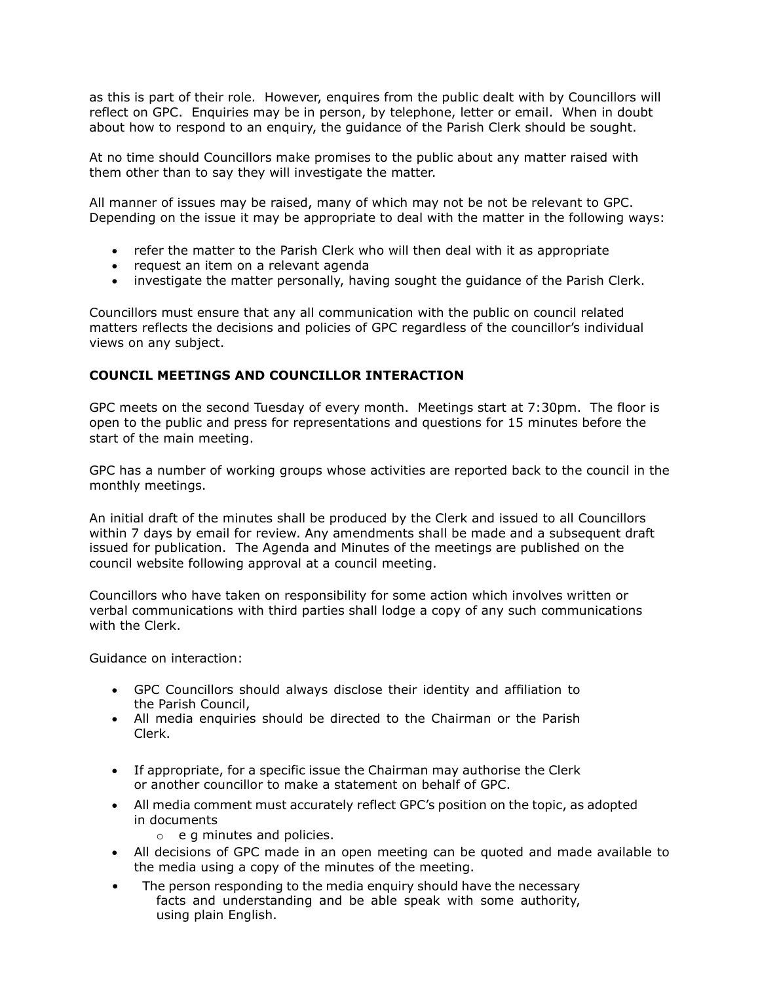as this is part of their role. However, enquires from the public dealt with by Councillors will reflect on GPC. Enquiries may be in person, by telephone, letter or email. When in doubt about how to respond to an enquiry, the guidance of the Parish Clerk should be sought.

At no time should Councillors make promises to the public about any matter raised with them other than to say they will investigate the matter.

All manner of issues may be raised, many of which may not be not be relevant to GPC. Depending on the issue it may be appropriate to deal with the matter in the following ways:

- refer the matter to the Parish Clerk who will then deal with it as appropriate
- request an item on a relevant agenda
- investigate the matter personally, having sought the guidance of the Parish Clerk.

Councillors must ensure that any all communication with the public on council related matters reflects the decisions and policies of GPC regardless of the councillor's individual views on any subject.

# **COUNCIL MEETINGS AND COUNCILLOR INTERACTION**

GPC meets on the second Tuesday of every month. Meetings start at 7:30pm. The floor is open to the public and press for representations and questions for 15 minutes before the start of the main meeting.

GPC has a number of working groups whose activities are reported back to the council in the monthly meetings.

An initial draft of the minutes shall be produced by the Clerk and issued to all Councillors within 7 days by email for review. Any amendments shall be made and a subsequent draft issued for publication. The Agenda and Minutes of the meetings are published on the council website following approval at a council meeting.

Councillors who have taken on responsibility for some action which involves written or verbal communications with third parties shall lodge a copy of any such communications with the Clerk.

Guidance on interaction:

- GPC Councillors should always disclose their identity and affiliation to the Parish Council,
- All media enquiries should be directed to the Chairman or the Parish Clerk.
- If appropriate, for a specific issue the Chairman may authorise the Clerk or another councillor to make a statement on behalf of GPC.
- All media comment must accurately reflect GPC's position on the topic, as adopted in documents
	- o e g minutes and policies.
- All decisions of GPC made in an open meeting can be quoted and made available to the media using a copy of the minutes of the meeting.
- The person responding to the media enquiry should have the necessary facts and understanding and be able speak with some authority, using plain English.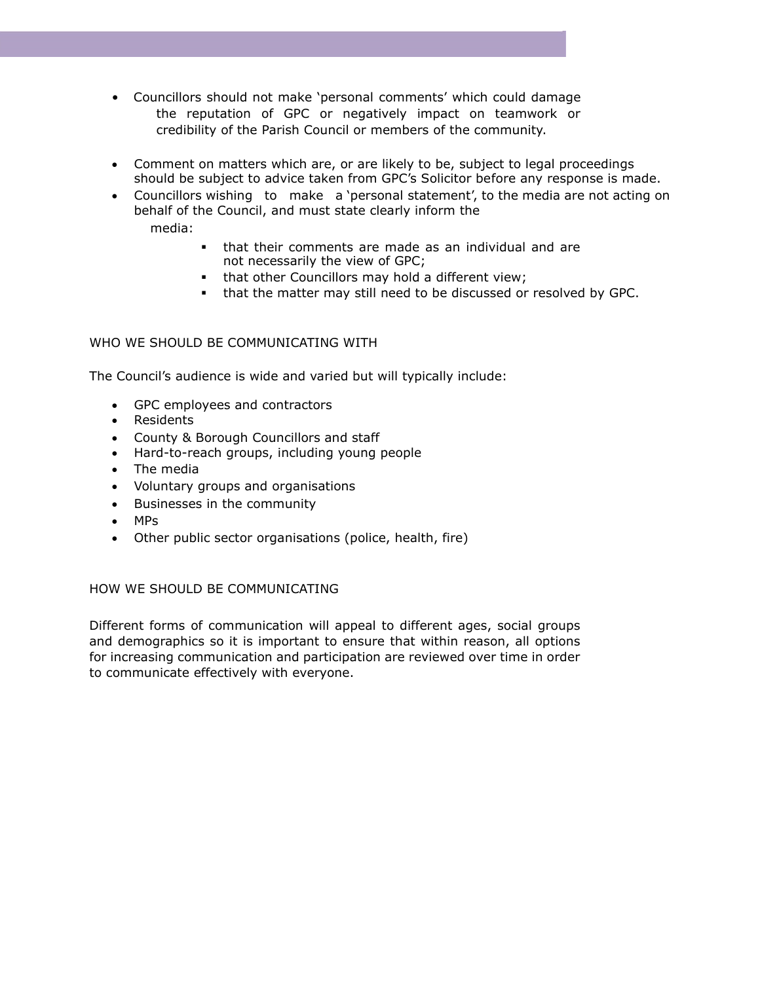- Councillors should not make 'personal comments' which could damage the reputation of GPC or negatively impact on teamwork or credibility of the Parish Council or members of the community.
- Comment on matters which are, or are likely to be, subject to legal proceedings should be subject to advice taken from GPC's Solicitor before any response is made.
- Councillors wishing to make a 'personal statement', to the media are not acting on behalf of the Council, and must state clearly inform the media:
	- that their comments are made as an individual and are not necessarily the view of GPC;
	- that other Councillors may hold a different view;
	- that the matter may still need to be discussed or resolved by GPC.

# WHO WE SHOULD BE COMMUNICATING WITH

The Council's audience is wide and varied but will typically include:

- GPC employees and contractors
- Residents
- County & Borough Councillors and staff
- Hard-to-reach groups, including young people
- The media
- Voluntary groups and organisations
- Businesses in the community
- MPs
- Other public sector organisations (police, health, fire)

### HOW WE SHOULD BE COMMUNICATING

Different forms of communication will appeal to different ages, social groups and demographics so it is important to ensure that within reason, all options for increasing communication and participation are reviewed over time in order to communicate effectively with everyone.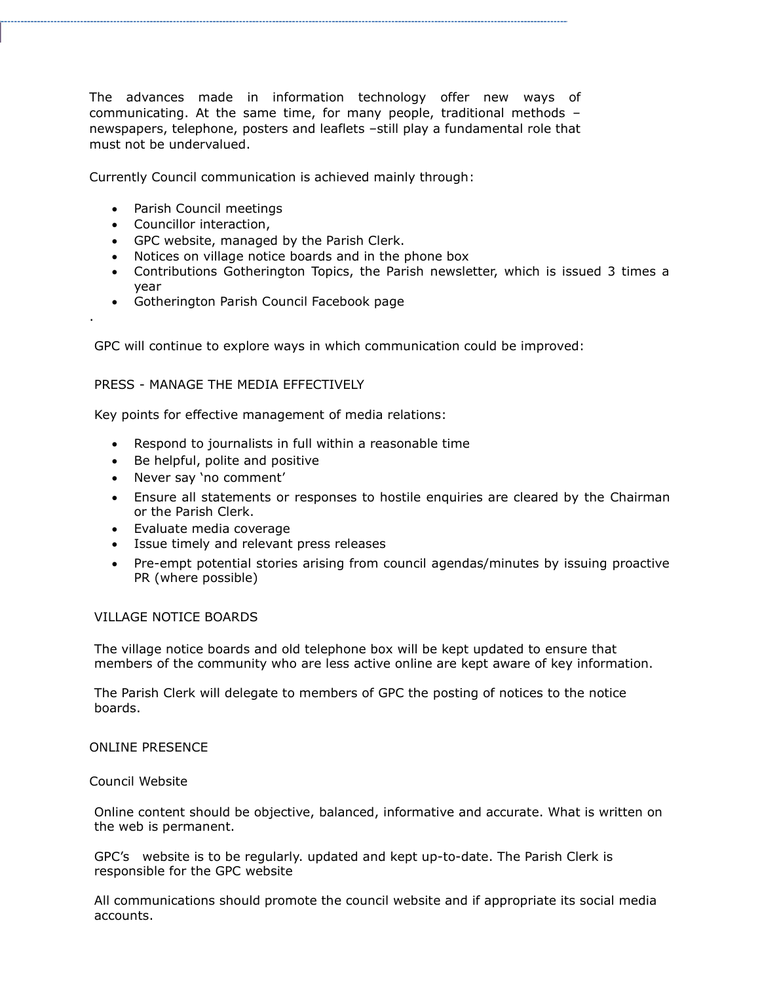The advances made in information technology offer new ways of communicating. At the same time, for many people, traditional methods – newspapers, telephone, posters and leaflets –still play a fundamental role that must not be undervalued.

Currently Council communication is achieved mainly through:

- Parish Council meetings
- Councillor interaction,

.

- GPC website, managed by the Parish Clerk.
- Notices on village notice boards and in the phone box
- Contributions Gotherington Topics, the Parish newsletter, which is issued 3 times a year
- Gotherington Parish Council Facebook page

GPC will continue to explore ways in which communication could be improved:

## PRESS - MANAGE THE MEDIA EFFECTIVELY

Key points for effective management of media relations:

- Respond to journalists in full within a reasonable time
- Be helpful, polite and positive
- Never say 'no comment'
- Ensure all statements or responses to hostile enquiries are cleared by the Chairman or the Parish Clerk.
- Evaluate media coverage
- Issue timely and relevant press releases
- Pre-empt potential stories arising from council agendas/minutes by issuing proactive PR (where possible)

### VILLAGE NOTICE BOARDS

The village notice boards and old telephone box will be kept updated to ensure that members of the community who are less active online are kept aware of key information.

The Parish Clerk will delegate to members of GPC the posting of notices to the notice boards.

### ONLINE PRESENCE

#### Council Website

Online content should be objective, balanced, informative and accurate. What is written on the web is permanent.

GPC's website is to be regularly. updated and kept up-to-date. The Parish Clerk is responsible for the GPC website

All communications should promote the council website and if appropriate its social media accounts.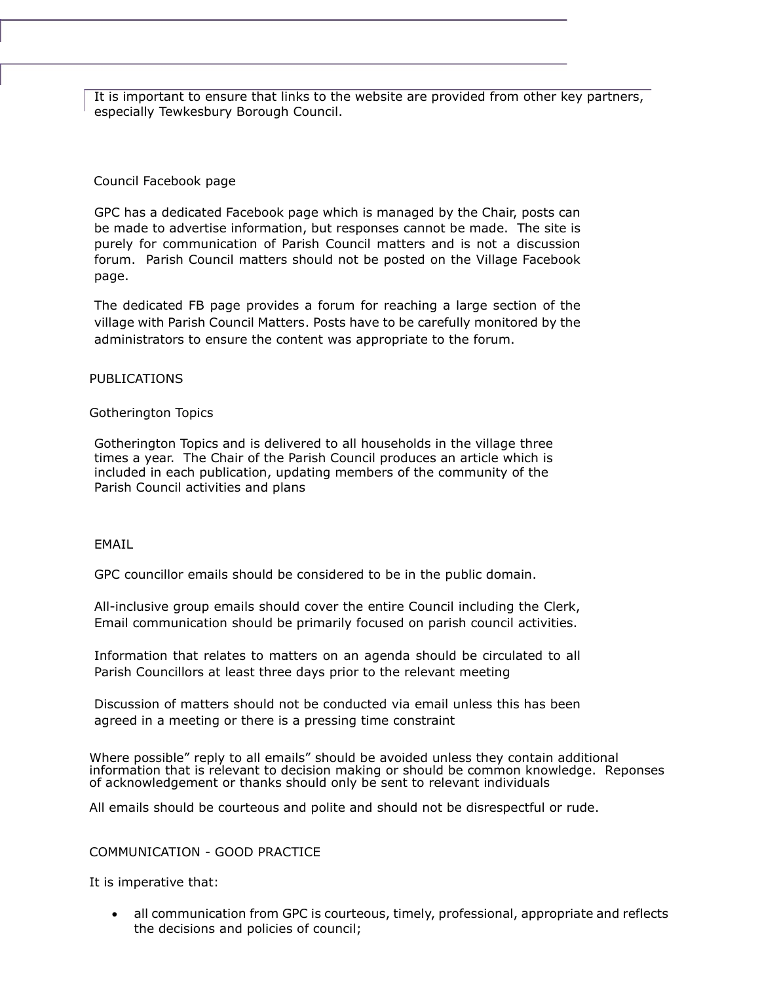It is important to ensure that links to the website are provided from other key partners, especially Tewkesbury Borough Council.

## Council Facebook page

GPC has a dedicated Facebook page which is managed by the Chair, posts can be made to advertise information, but responses cannot be made. The site is purely for communication of Parish Council matters and is not a discussion forum. Parish Council matters should not be posted on the Village Facebook page.

The dedicated FB page provides a forum for reaching a large section of the village with Parish Council Matters. Posts have to be carefully monitored by the administrators to ensure the content was appropriate to the forum.

### PUBLICATIONS

## Gotherington Topics

Gotherington Topics and is delivered to all households in the village three times a year. The Chair of the Parish Council produces an article which is included in each publication, updating members of the community of the Parish Council activities and plans

### EMAIL

GPC councillor emails should be considered to be in the public domain.

All-inclusive group emails should cover the entire Council including the Clerk, Email communication should be primarily focused on parish council activities.

Information that relates to matters on an agenda should be circulated to all Parish Councillors at least three days prior to the relevant meeting

Discussion of matters should not be conducted via email unless this has been agreed in a meeting or there is a pressing time constraint

Where possible" reply to all emails" should be avoided unless they contain additional information that is relevant to decision making or should be common knowledge. Reponses of acknowledgement or thanks should only be sent to relevant individuals

All emails should be courteous and polite and should not be disrespectful or rude.

### COMMUNICATION - GOOD PRACTICE

It is imperative that:

• all communication from GPC is courteous, timely, professional, appropriate and reflects the decisions and policies of council;